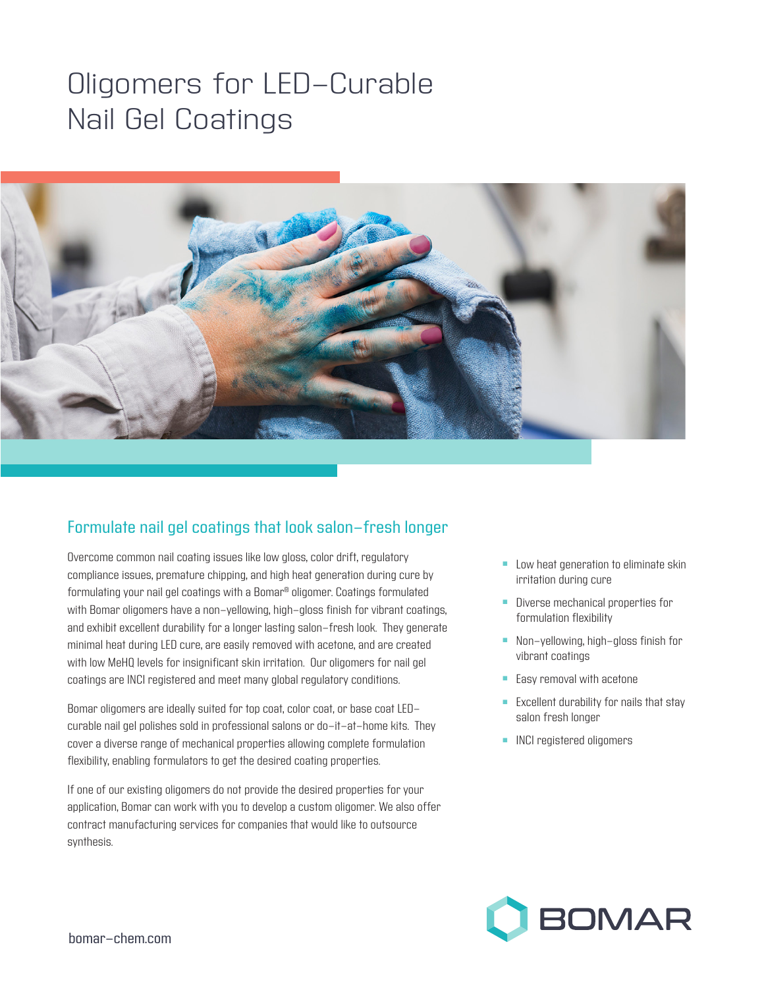## Oligomers for LED-Curable Nail Gel Coatings



## Formulate nail gel coatings that look salon-fresh longer

Overcome common nail coating issues like low gloss, color drift, regulatory compliance issues, premature chipping, and high heat generation during cure by formulating your nail gel coatings with a Bomar® oligomer. Coatings formulated with Bomar oligomers have a non-yellowing, high-gloss finish for vibrant coatings, and exhibit excellent durability for a longer lasting salon-fresh look. They generate minimal heat during LED cure, are easily removed with acetone, and are created with low MeHQ levels for insignificant skin irritation. Our oligomers for nail gel coatings are INCI registered and meet many global regulatory conditions.

Bomar oligomers are ideally suited for top coat, color coat, or base coat LEDcurable nail gel polishes sold in professional salons or do-it-at-home kits. They cover a diverse range of mechanical properties allowing complete formulation flexibility, enabling formulators to get the desired coating properties.

If one of our existing oligomers do not provide the desired properties for your application, Bomar can work with you to develop a custom oligomer. We also offer contract manufacturing services for companies that would like to outsource synthesis.

- $\blacksquare$  Low heat generation to eliminate skin irritation during cure
- **n** Diverse mechanical properties for formulation flexibility
- **n** Non-yellowing, high-gloss finish for vibrant coatings
- $\blacksquare$  Easy removal with acetone
- Excellent durability for nails that stay salon fresh longer
- **n** INCI registered oligomers